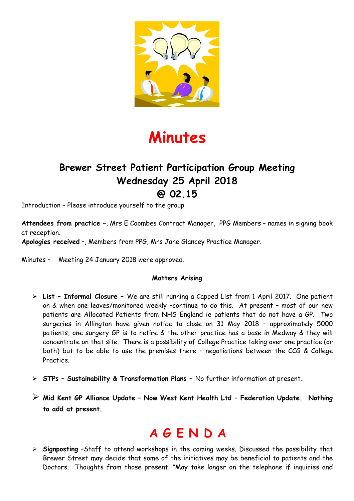

## **Minutes**

### **Brewer Street Patient Participation Group Meeting Wednesday 25 April 2018 @ 02.15**

Introduction – Please introduce yourself to the group

**Attendees from practice –**, Mrs E Coombes Contract Manager, PPG Members – names in signing book at reception.

**Apologies received** –, Members from PPG, Mrs Jane Glancey Practice Manager.

Minutes – Meeting 24 January 2018 were approved.

#### **Matters Arising**

- **List Informal Closure** We are still running a Capped List from 1 April 2017. One patient on & when one leaves/monitored weekly –continue to do this. At present – most of our new patients are Allocated Patients from NHS England ie patients that do not have a GP. Two surgeries in Allington have given notice to close on 31 May 2018 – approximately 5000 patients, one surgery GP is to retire & the other practice has a base in Medway & they will concentrate on that site. There is a possibility of College Practice taking over one practice (or both) but to be able to use the premises there – negotiations between the CCG & College Practice.
- **STPs Sustainability & Transformation Plans** No further information at present**.**
- **Mid Kent GP Alliance Update Now West Kent Health Ltd Federation Update. Nothing to add at present.**

### **A G E N D A**

 **Signposting** –Staff to attend workshops in the coming weeks. Discussed the possibility that Brewer Street may decide that some of the initiatives may be beneficial to patients and the Doctors. Thoughts from those present. "May take longer on the telephone if inquiries and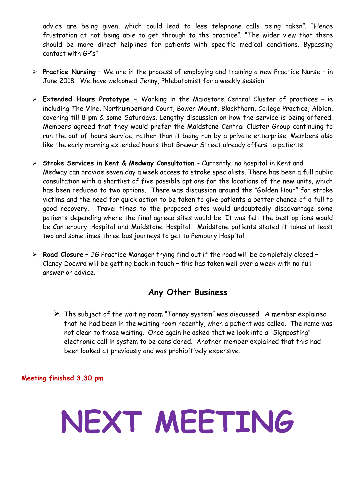advice are being given, which could lead to less telephone calls being taken". "Hence frustration at not being able to get through to the practice". "The wider view that there should be more direct helplines for patients with specific medical conditions. Bypassing contact with GP's"

- **Practice Nursing** We are in the process of employing and training a new Practice Nurse in June 2018. We have welcomed Jenny, Phlebotomist for a weekly session.
- **Extended Hours Prototype** Working in the Maidstone Central Cluster of practices ie including The Vine, Northumberland Court, Bower Mount, Blackthorn, College Practice, Albion, covering till 8 pm & some Saturdays. Lengthy discussion on how the service is being offered. Members agreed that they would prefer the Maidstone Central Cluster Group continuing to run the out of hours service, rather than it being run by a private enterprise. Members also like the early morning extended hours that Brewer Street already offers to patients.
- **Stroke Services in Kent & Medway Consultation**  Currently, no hospital in Kent and Medway can provide seven day a week access to stroke specialists. There has been a full public consultation with a shortlist of five possible options for the locations of the new units, which has been reduced to two options. There was discussion around the "Golden Hour" for stroke victims and the need for quick action to be taken to give patients a better chance of a full to good recovery. Travel times to the proposed sites would undoubtedly disadvantage some patients depending where the final agreed sites would be. It was felt the best options would be Canterbury Hospital and Maidstone Hospital. Maidstone patients stated it takes at least two and sometimes three bus journeys to get to Pembury Hospital.
- **Road Closure** JG Practice Manager trying find out if the road will be completely closed Clancy Docwra will be getting back in touch – this has taken well over a week with no full answer or advice.

#### **Any Other Business**

 $\triangleright$  The subject of the waiting room "Tannoy system" was discussed. A member explained that he had been in the waiting room recently, when a patient was called. The name was not clear to those waiting. Once again he asked that we look into a "Signposting" electronic call in system to be considered. Another member explained that this had been looked at previously and was prohibitively expensive.

**Meeting finished 3.30 pm** 

## **NEXT MEETING**